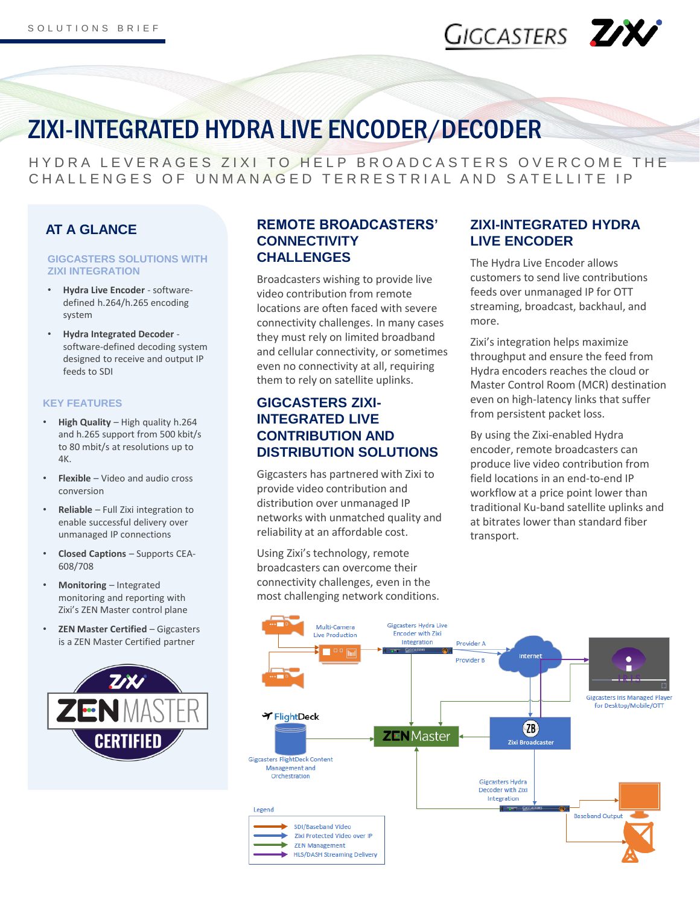# GIGCASTERS ZX

## ZIXI-INTEGRATED HYDRA LIVE ENCODER/DECODER

HYDRA LEVERAGES ZIXI TO HELP BROADCASTERS OVERCOME THE C HALL ENGES OF UNMANAGED TERRESTRIAL AND SATELLITE IP

## **AT A GLANCE**

### **GIGCASTERS SOLUTIONS WITH ZIXI INTEGRATION**

- **Hydra Live Encoder**  softwaredefined h.264/h.265 encoding system
- **Hydra Integrated Decoder**  software-defined decoding system designed to receive and output IP feeds to SDI

### **KEY FEATURES**

- **High Quality**  High quality h.264 and h.265 support from 500 kbit/s to 80 mbit/s at resolutions up to 4K.
- **Flexible**  Video and audio cross conversion
- **Reliable**  Full Zixi integration to enable successful delivery over unmanaged IP connections
- **Closed Captions**  Supports CEA-608/708
- **Monitoring**  Integrated monitoring and reporting with Zixi's ZEN Master control plane
- **ZEN Master Certified**  Gigcasters is a ZEN Master Certified partner



### **REMOTE BROADCASTERS' CONNECTIVITY CHALLENGES**

Broadcasters wishing to provide live video contribution from remote locations are often faced with severe connectivity challenges. In many cases they must rely on limited broadband and cellular connectivity, or sometimes even no connectivity at all, requiring them to rely on satellite uplinks.

## **GIGCASTERS ZIXI-INTEGRATED LIVE CONTRIBUTION AND DISTRIBUTION SOLUTIONS**

Gigcasters has partnered with Zixi to provide video contribution and distribution over unmanaged IP networks with unmatched quality and reliability at an affordable cost.

Using Zixi's technology, remote broadcasters can overcome their connectivity challenges, even in the most challenging network conditions.

## **ZIXI-INTEGRATED HYDRA LIVE ENCODER**

The Hydra Live Encoder allows customers to send live contributions feeds over unmanaged IP for OTT streaming, broadcast, backhaul, and more.

Zixi's integration helps maximize throughput and ensure the feed from Hydra encoders reaches the cloud or Master Control Room (MCR) destination even on high-latency links that suffer from persistent packet loss.

By using the Zixi-enabled Hydra encoder, remote broadcasters can produce live video contribution from field locations in an end-to-end IP workflow at a price point lower than traditional Ku-band satellite uplinks and at bitrates lower than standard fiber transport.